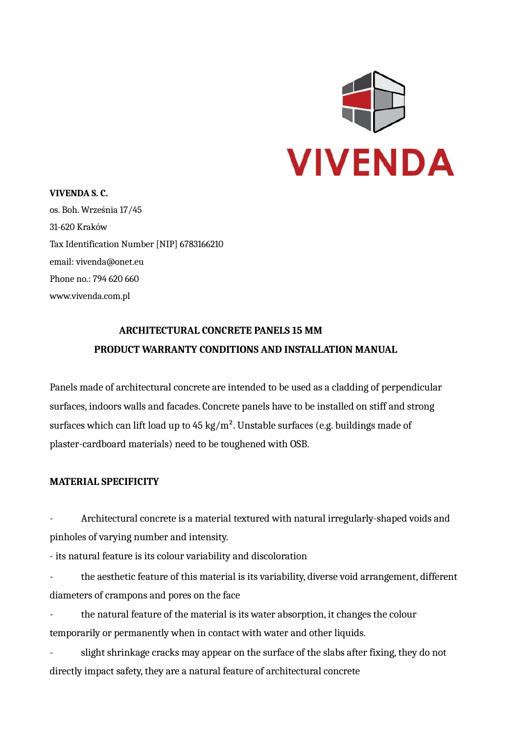

#### **VIVENDA S. C.**

os. Boh. Września 17/45 31-620 Kraków Tax Identification Number [NIP] 6783166210 email: [vivenda@onet.eu](mailto:vivenda@onet.eu) Phone no.: 794 620 660 [www.vivenda.com.pl](http://www.vivenda.com.pl/)

# **ARCHITECTURAL CONCRETE PANELS 15 MM PRODUCT WARRANTY CONDITIONS AND INSTALLATION MANUAL**

Panels made of architectural concrete are intended to be used as a cladding of perpendicular surfaces, indoors walls and facades. Concrete panels have to be installed on stiff and strong surfaces which can lift load up to  $45 \text{ kg/m}^2$ . Unstable surfaces (e.g. buildings made of plaster-cardboard materials) need to be toughened with OSB.

# **MATERIAL SPECIFICITY**

- Architectural concrete is a material textured with natural irregularly-shaped voids and pinholes of varying number and intensity.

- its natural feature is its colour variability and discoloration

the aesthetic feature of this material is its variability, diverse void arrangement, different diameters of crampons and pores on the face

the natural feature of the material is its water absorption, it changes the colour temporarily or permanently when in contact with water and other liquids.

slight shrinkage cracks may appear on the surface of the slabs after fixing, they do not directly impact safety, they are a natural feature of architectural concrete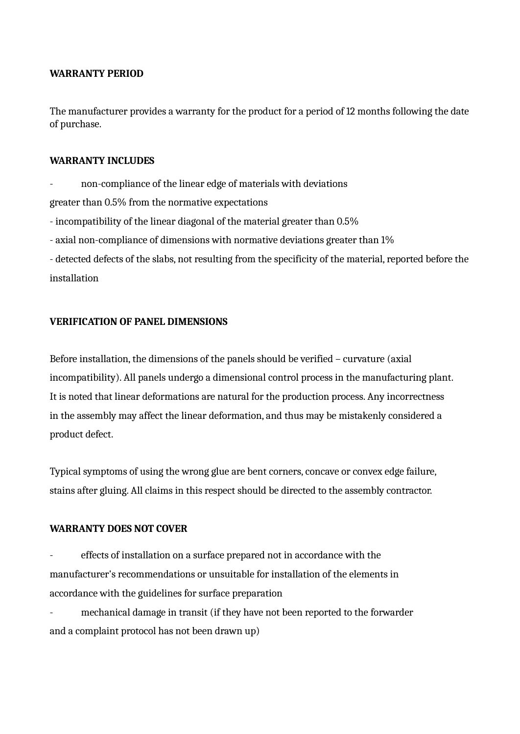## **WARRANTY PERIOD**

The manufacturer provides a warranty for the product for a period of 12 months following the date of purchase.

## **WARRANTY INCLUDES**

non-compliance of the linear edge of materials with deviations greater than 0.5% from the normative expectations - incompatibility of the linear diagonal of the material greater than 0.5% - axial non-compliance of dimensions with normative deviations greater than 1% - detected defects of the slabs, not resulting from the specificity of the material, reported before the

installation

## **VERIFICATION OF PANEL DIMENSIONS**

Before installation, the dimensions of the panels should be verified – curvature (axial incompatibility). All panels undergo a dimensional control process in the manufacturing plant. It is noted that linear deformations are natural for the production process. Any incorrectness in the assembly may affect the linear deformation, and thus may be mistakenly considered a product defect.

Typical symptoms of using the wrong glue are bent corners, concave or convex edge failure, stains after gluing. All claims in this respect should be directed to the assembly contractor.

## **WARRANTY DOES NOT COVER**

effects of installation on a surface prepared not in accordance with the manufacturer's recommendations or unsuitable for installation of the elements in accordance with the guidelines for surface preparation

mechanical damage in transit (if they have not been reported to the forwarder and a complaint protocol has not been drawn up)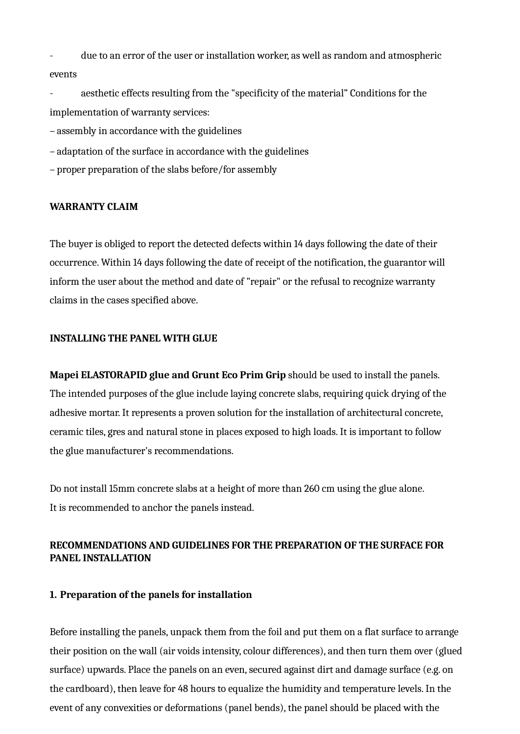- due to an error of the user or installation worker, as well as random and atmospheric events

aesthetic effects resulting from the "specificity of the material" Conditions for the implementation of warranty services:

– assembly in accordance with the guidelines

– adaptation of the surface in accordance with the guidelines

– proper preparation of the slabs before/for assembly

#### **WARRANTY CLAIM**

The buyer is obliged to report the detected defects within 14 days following the date of their occurrence. Within 14 days following the date of receipt of the notification, the guarantor will inform the user about the method and date of "repair" or the refusal to recognize warranty claims in the cases specified above.

#### **INSTALLING THE PANEL WITH GLUE**

**Mapei ELASTORAPID glue and Grunt Eco Prim Grip** should be used to install the panels. The intended purposes of the glue include laying concrete slabs, requiring quick drying of the adhesive mortar. It represents a proven solution for the installation of architectural concrete, ceramic tiles, gres and natural stone in places exposed to high loads. It is important to follow the glue manufacturer's recommendations.

Do not install 15mm concrete slabs at a height of more than 260 cm using the glue alone. It is recommended to anchor the panels instead.

#### **RECOMMENDATIONS AND GUIDELINES FOR THE PREPARATION OF THE SURFACE FOR PANEL INSTALLATION**

#### **1. Preparation of the panels for installation**

Before installing the panels, unpack them from the foil and put them on a flat surface to arrange their position on the wall (air voids intensity, colour differences), and then turn them over (glued surface) upwards. Place the panels on an even, secured against dirt and damage surface (e.g. on the cardboard), then leave for 48 hours to equalize the humidity and temperature levels. In the event of any convexities or deformations (panel bends), the panel should be placed with the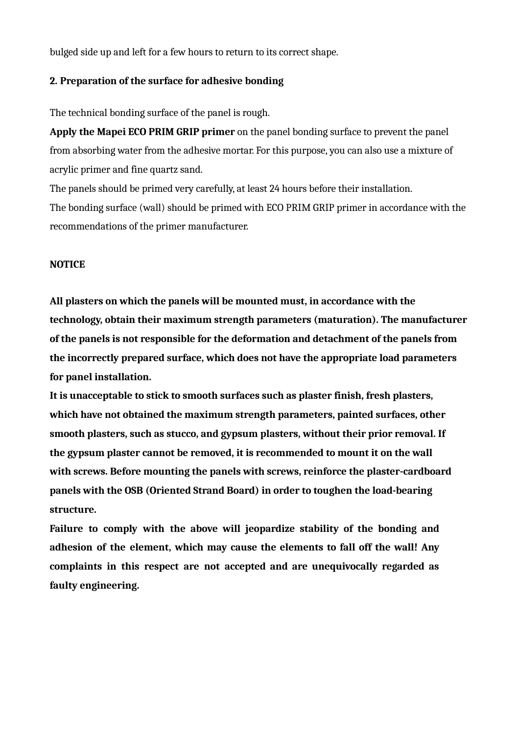bulged side up and left for a few hours to return to its correct shape.

#### **2. Preparation of the surface for adhesive bonding**

The technical bonding surface of the panel is rough.

**Apply the Mapei ECO PRIM GRIP primer** on the panel bonding surface to prevent the panel from absorbing water from the adhesive mortar. For this purpose, you can also use a mixture of acrylic primer and fine quartz sand.

The panels should be primed very carefully, at least 24 hours before their installation. The bonding surface (wall) should be primed with ECO PRIM GRIP primer in accordance with the recommendations of the primer manufacturer.

#### **NOTICE**

**All plasters on which the panels will be mounted must, in accordance with the technology, obtain their maximum strength parameters (maturation). The manufacturer of the panels is not responsible for the deformation and detachment of the panels from the incorrectly prepared surface, which does not have the appropriate load parameters for panel installation.**

**It is unacceptable to stick to smooth surfaces such as plaster finish, fresh plasters, which have not obtained the maximum strength parameters, painted surfaces, other smooth plasters, such as stucco, and gypsum plasters, without their prior removal. If the gypsum plaster cannot be removed, it is recommended to mount it on the wall with screws. Before mounting the panels with screws, reinforce the plaster-cardboard panels with the OSB (Oriented Strand Board) in order to toughen the load-bearing structure.**

**Failure to comply with the above will jeopardize stability of the bonding and adhesion of the element, which may cause the elements to fall off the wall! Any complaints in this respect are not accepted and are unequivocally regarded as faulty engineering.**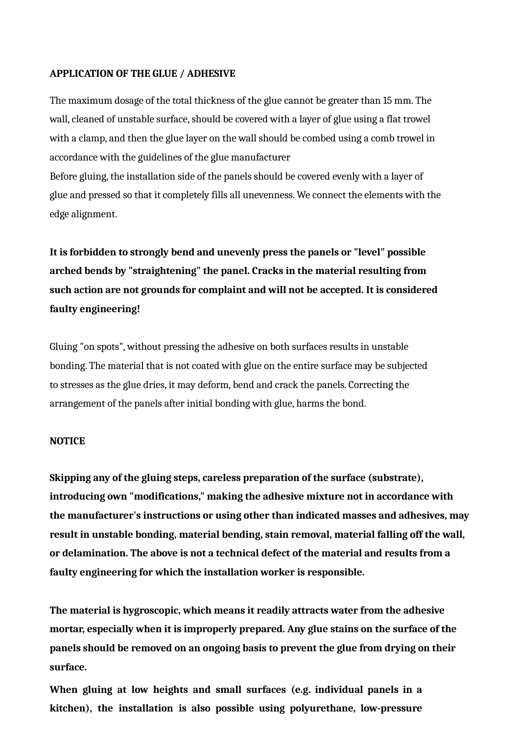#### **APPLICATION OF THE GLUE / ADHESIVE**

The maximum dosage of the total thickness of the glue cannot be greater than 15 mm. The wall, cleaned of unstable surface, should be covered with a layer of glue using a flat trowel with a clamp, and then the glue layer on the wall should be combed using a comb trowel in accordance with the guidelines of the glue manufacturer

Before gluing, the installation side of the panels should be covered evenly with a layer of glue and pressed so that it completely fills all unevenness. We connect the elements with the edge alignment.

**It is forbidden to strongly bend and unevenly press the panels or "level" possible arched bends by "straightening" the panel. Cracks in the material resulting from such action are not grounds for complaint and will not be accepted. It is considered faulty engineering!**

Gluing "on spots", without pressing the adhesive on both surfaces results in unstable bonding. The material that is not coated with glue on the entire surface may be subjected to stresses as the glue dries, it may deform, bend and crack the panels. Correcting the arrangement of the panels after initial bonding with glue, harms the bond.

#### **NOTICE**

**Skipping any of the gluing steps, careless preparation of the surface (substrate), introducing own "modifications," making the adhesive mixture not in accordance with the manufacturer's instructions or using other than indicated masses and adhesives, may result in unstable bonding, material bending, stain removal, material falling off the wall, or delamination. The above is not a technical defect of the material and results from a faulty engineering for which the installation worker is responsible.**

**The material is hygroscopic, which means it readily attracts water from the adhesive mortar, especially when it is improperly prepared. Any glue stains on the surface of the panels should be removed on an ongoing basis to prevent the glue from drying on their surface.**

**When gluing at low heights and small surfaces (e.g. individual panels in a kitchen), the installation is also possible using polyurethane, low-pressure**